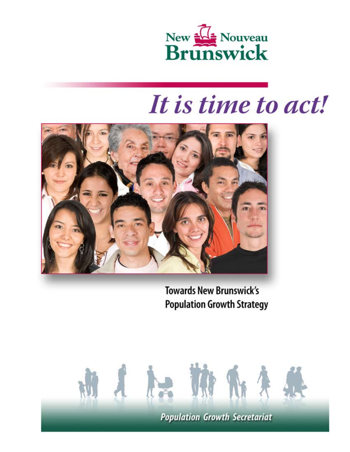

# It is time to act!



**Towards New Brunswick's Population Growth Strategy** 

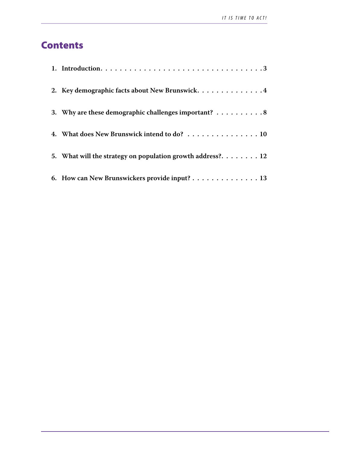# **Contents**

| 2. Key demographic facts about New Brunswick. 4                                  |
|----------------------------------------------------------------------------------|
| 3. Why are these demographic challenges important? $\dots \dots \dots$           |
| 4. What does New Brunswick intend to do? 10                                      |
| 5. What will the strategy on population growth address?. $\dots \dots \dots 12$  |
| 6. How can New Brunswickers provide input? $\dots \dots \dots \dots \dots \dots$ |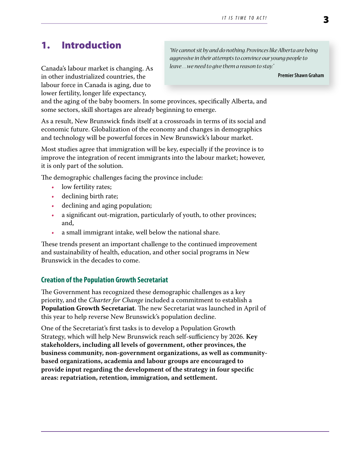# <span id="page-2-0"></span>1. Introduction

Canada's labour market is changing. As in other industrialized countries, the labour force in Canada is aging, due to lower fertility, longer life expectancy,

*"We cannot sit by and do nothing. Provinces like Alberta are being aggressive in their attempts to convince our young people to leave…we need to give them a reason to stay."*

**Premier Shawn Graham**

and the aging of the baby boomers. In some provinces, specifically Alberta, and some sectors, skill shortages are already beginning to emerge.

As a result, New Brunswick finds itself at a crossroads in terms of its social and economic future. Globalization of the economy and changes in demographics and technology will be powerful forces in New Brunswick's labour market.

Most studies agree that immigration will be key, especially if the province is to improve the integration of recent immigrants into the labour market; however, it is only part of the solution.

The demographic challenges facing the province include:

- low fertility rates;
- declining birth rate;
- declining and aging population;
- a significant out-migration, particularly of youth, to other provinces; and,
- a small immigrant intake, well below the national share.

These trends present an important challenge to the continued improvement and sustainability of health, education, and other social programs in New Brunswick in the decades to come.

# **Creation of the Population Growth Secretariat**

The Government has recognized these demographic challenges as a key priority, and the *Charter for Change* included a commitment to establish a **Population Growth Secretariat**. The new Secretariat was launched in April of this year to help reverse New Brunswick's population decline.

One of the Secretariat's first tasks is to develop a Population Growth Strategy, which will help New Brunswick reach self-sufficiency by 2026. **Key stakeholders, including all levels of government, other provinces, the business community, non-government organizations, as well as communitybased organizations, academia and labour groups are encouraged to provide input regarding the development of the strategy in four specific areas: repatriation, retention, immigration, and settlement.**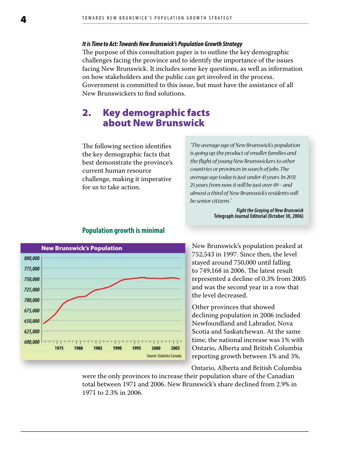#### <span id="page-3-0"></span>*It is Time to Act: Towards New Brunswick's Population Growth Strategy*

The purpose of this consultation paper is to outline the key demographic challenges facing the province and to identify the importance of the issues facing New Brunswick. It includes some key questions, as well as information on how stakeholders and the public can get involved in the process. Government is committed to this issue, but must have the assistance of all New Brunswickers to find solutions.

# 2. Key demographic facts about New Brunswick

The following section identifies the key demographic facts that best demonstrate the province's current human resource challenge, making it imperative for us to take action.

*"The average age of New Brunswick's population is going up, the product of smaller families and the flight of young New Brunswickers to other countries or provinces in search of jobs. The average age today is just under 41 years. In 2031, 25 years from now, it will be just over 49 – and almost a third of New Brunswick's residents will be senior citizens."*

> *Fight the Graying of New Brunswick* **Telegraph Journal Editorial (October 30, 2006)**



## **Population growth is minimal**

New Brunswick's population peaked at 752,543 in 1997. Since then, the level stayed around 750,000 until falling to 749,168 in 2006. The latest result represented a decline of 0.3% from 2005 and was the second year in a row that the level decreased.

Other provinces that showed declining population in 2006 included Newfoundland and Labrador, Nova Scotia and Saskatchewan. At the same time, the national increase was 1% with Ontario, Alberta and British Columbia reporting growth between 1% and 3%.

Ontario, Alberta and British Columbia

were the only provinces to increase their population share of the Canadian total between 1971 and 2006. New Brunswick's share declined from 2.9% in 1971 to 2.3% in 2006.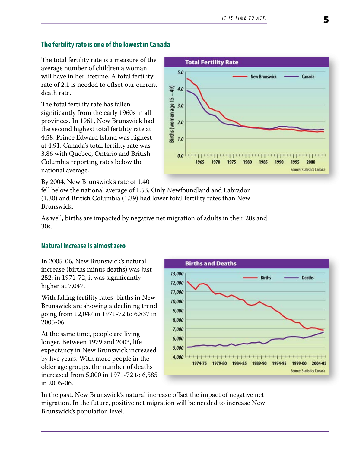# **The fertility rate is one of the lowest in Canada**

The total fertility rate is a measure of the average number of children a woman will have in her lifetime. A total fertility rate of 2.1 is needed to offset our current death rate.

The total fertility rate has fallen significantly from the early 1960s in all provinces. In 1961, New Brunswick had the second highest total fertility rate at 4.58; Prince Edward Island was highest at 4.91. Canada's total fertility rate was 3.86 with Quebec, Ontario and British Columbia reporting rates below the national average.

By 2004, New Brunswick's rate of 1.40

fell below the national average of 1.53. Only Newfoundland and Labrador (1.30) and British Columbia (1.39) had lower total fertility rates than New Brunswick.

As well, births are impacted by negative net migration of adults in their 20s and 30s.

## **Natural increase is almost zero**

In 2005-06, New Brunswick's natural increase (births minus deaths) was just 252; in 1971-72, it was significantly higher at 7,047.

With falling fertility rates, births in New Brunswick are showing a declining trend going from 12,047 in 1971-72 to 6,837 in 2005-06.

At the same time, people are living longer. Between 1979 and 2003, life expectancy in New Brunswick increased by five years. With more people in the older age groups, the number of deaths increased from 5,000 in 1971-72 to 6,585 in 2005-06.

**Births and Deaths** 13,000 **Births Deaths** 12,000 11,000 10,000 9,000 8,000 7,000 6,000 5,000 4,000 1974-75 1979-80 1984-85 1989-90 1994-95 1999-00 2004-05 Source: Statistics Canada

In the past, New Brunswick's natural increase offset the impact of negative net migration. In the future, positive net migration will be needed to increase New Brunswick's population level.

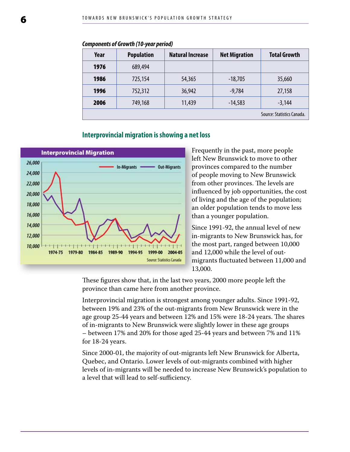| Year | <b>Population</b> | <b>Natural Increase</b> | <b>Net Migration</b> | <b>Total Growth</b>        |
|------|-------------------|-------------------------|----------------------|----------------------------|
| 1976 | 689,494           |                         |                      |                            |
| 1986 | 725,154           | 54,365                  | $-18,705$            | 35,660                     |
| 1996 | 752,312           | 36,942                  | $-9,784$             | 27,158                     |
| 2006 | 749,168           | 11,439                  | $-14,583$            | $-3,144$                   |
|      |                   |                         |                      | Source: Statistics Canada. |

#### *Components of Growth (10-year period)*

#### **Interprovincial migration is showing a net loss**



Frequently in the past, more people left New Brunswick to move to other provinces compared to the number of people moving to New Brunswick from other provinces. The levels are influenced by job opportunities, the cost of living and the age of the population; an older population tends to move less than a younger population.

Since 1991-92, the annual level of new in-migrants to New Brunswick has, for the most part, ranged between 10,000 and 12,000 while the level of outmigrants fluctuated between 11,000 and 13,000.

These figures show that, in the last two years, 2000 more people left the province than came here from another province.

Interprovincial migration is strongest among younger adults. Since 1991-92, between 19% and 23% of the out-migrants from New Brunswick were in the age group 25-44 years and between 12% and 15% were 18-24 years. The shares of in-migrants to New Brunswick were slightly lower in these age groups – between 17% and 20% for those aged 25-44 years and between 7% and 11% for 18-24 years.

Since 2000-01, the majority of out-migrants left New Brunswick for Alberta, Quebec, and Ontario. Lower levels of out-migrants combined with higher levels of in-migrants will be needed to increase New Brunswick's population to a level that will lead to self-sufficiency.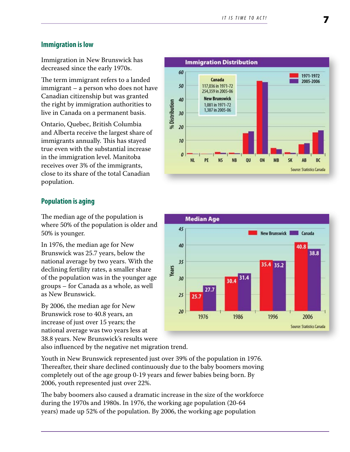## **Immigration is low**

Immigration in New Brunswick has decreased since the early 1970s.

The term immigrant refers to a landed immigrant – a person who does not have Canadian citizenship but was granted the right by immigration authorities to live in Canada on a permanent basis.

Ontario, Quebec, British Columbia and Alberta receive the largest share of immigrants annually. This has stayed true even with the substantial increase in the immigration level. Manitoba receives over 3% of the immigrants, close to its share of the total Canadian population.

### **Population is aging**

The median age of the population is where 50% of the population is older and 50% is younger.

In 1976, the median age for New Brunswick was 25.7 years, below the national average by two years. With the declining fertility rates, a smaller share of the population was in the younger age groups – for Canada as a whole, as well as New Brunswick.

By 2006, the median age for New Brunswick rose to 40.8 years, an increase of just over 15 years; the national average was two years less at 38.8 years. New Brunswick's results were

also influenced by the negative net migration trend.

Youth in New Brunswick represented just over 39% of the population in 1976. Thereafter, their share declined continuously due to the baby boomers moving completely out of the age group 0-19 years and fewer babies being born. By 2006, youth represented just over 22%.

The baby boomers also caused a dramatic increase in the size of the workforce during the 1970s and 1980s. In 1976, the working age population (20-64 years) made up 52% of the population. By 2006, the working age population



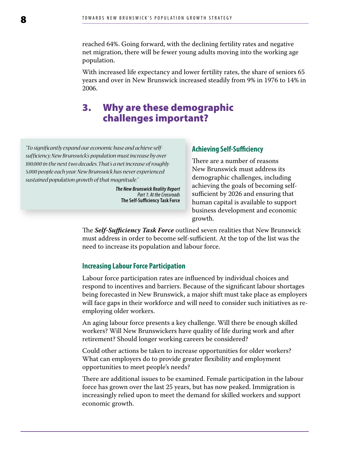<span id="page-7-0"></span>reached 64%. Going forward, with the declining fertility rates and negative net migration, there will be fewer young adults moving into the working age population.

With increased life expectancy and lower fertility rates, the share of seniors 65 years and over in New Brunswick increased steadily from 9% in 1976 to 14% in 2006.

# 3. Why are these demographic challenges important?

*"To significantly expand our economic base and achieve selfsufficiency, New Brunswick's population must increase by over 100,000 in the next two decades. That's a net increase of roughly 5,000 people each year. New Brunswick has never experienced sustained population growth of that magnitude."*

> *The New Brunswick Reality Report Part 1: At the Crossroads* **The Self-Sufficiency Task Force**

#### **Achieving Self-Sufficiency**

There are a number of reasons New Brunswick must address its demographic challenges, including achieving the goals of becoming selfsufficient by 2026 and ensuring that human capital is available to support business development and economic growth.

The *Self-Sufficiency Task Force* outlined seven realities that New Brunswick must address in order to become self-sufficient. At the top of the list was the need to increase its population and labour force.

#### **Increasing Labour Force Participation**

Labour force participation rates are influenced by individual choices and respond to incentives and barriers. Because of the significant labour shortages being forecasted in New Brunswick, a major shift must take place as employers will face gaps in their workforce and will need to consider such initiatives as reemploying older workers.

An aging labour force presents a key challenge. Will there be enough skilled workers? Will New Brunswickers have quality of life during work and after retirement? Should longer working careers be considered?

Could other actions be taken to increase opportunities for older workers? What can employers do to provide greater flexibility and employment opportunities to meet people's needs?

There are additional issues to be examined. Female participation in the labour force has grown over the last 25 years, but has now peaked. Immigration is increasingly relied upon to meet the demand for skilled workers and support economic growth.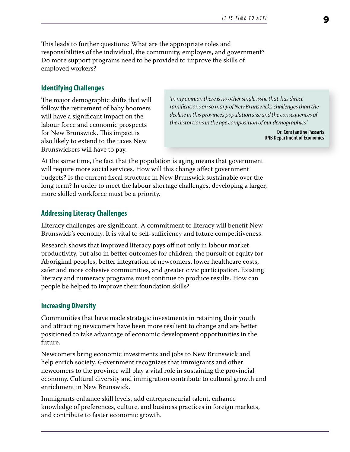This leads to further questions: What are the appropriate roles and responsibilities of the individual, the community, employers, and government? Do more support programs need to be provided to improve the skills of employed workers?

#### **Identifying Challenges**

The major demographic shifts that will follow the retirement of baby boomers will have a significant impact on the labour force and economic prospects for New Brunswick. This impact is also likely to extend to the taxes New Brunswickers will have to pay.

*"In my opinion there is no other single issue that has direct ramifications on so many of New Brunswick's challenges than the decline in this province's population size and the consequences of the distortions in the age composition of our demographics."*

> **Dr. Constantine Passaris UNB Department of Economics**

At the same time, the fact that the population is aging means that government will require more social services. How will this change affect government budgets? Is the current fiscal structure in New Brunswick sustainable over the long term? In order to meet the labour shortage challenges, developing a larger, more skilled workforce must be a priority.

## **Addressing Literacy Challenges**

Literacy challenges are significant. A commitment to literacy will benefit New Brunswick's economy. It is vital to self-sufficiency and future competitiveness.

Research shows that improved literacy pays off not only in labour market productivity, but also in better outcomes for children, the pursuit of equity for Aboriginal peoples, better integration of newcomers, lower healthcare costs, safer and more cohesive communities, and greater civic participation. Existing literacy and numeracy programs must continue to produce results. How can people be helped to improve their foundation skills?

#### **Increasing Diversity**

Communities that have made strategic investments in retaining their youth and attracting newcomers have been more resilient to change and are better positioned to take advantage of economic development opportunities in the future.

Newcomers bring economic investments and jobs to New Brunswick and help enrich society. Government recognizes that immigrants and other newcomers to the province will play a vital role in sustaining the provincial economy. Cultural diversity and immigration contribute to cultural growth and enrichment in New Brunswick.

Immigrants enhance skill levels, add entrepreneurial talent, enhance knowledge of preferences, culture, and business practices in foreign markets, and contribute to faster economic growth.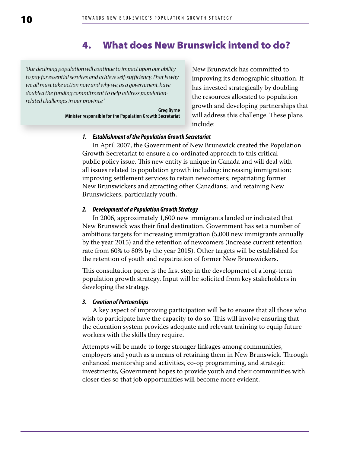# 4. What does New Brunswick intend to do?

<span id="page-9-0"></span>*"Our declining population will continue to impact upon our ability to pay for essential services and achieve self-sufficiency. That is why we all must take action now and why we, as a government,have doubled the funding commitment to help address populationrelated challenges in our province."*

> **Greg Byrne Minister responsible for the Population Growth Secretariat**

New Brunswick has committed to improving its demographic situation. It has invested strategically by doubling the resources allocated to population growth and developing partnerships that will address this challenge. These plans include:

#### *1. Establishment of the Population Growth Secretariat*

In April 2007, the Government of New Brunswick created the Population Growth Secretariat to ensure a co-ordinated approach to this critical public policy issue. This new entity is unique in Canada and will deal with all issues related to population growth including: increasing immigration; improving settlement services to retain newcomers; repatriating former New Brunswickers and attracting other Canadians; and retaining New Brunswickers, particularly youth.

#### *2. Development of a Population Growth Strategy*

In 2006, approximately 1,600 new immigrants landed or indicated that New Brunswick was their final destination. Government has set a number of ambitious targets for increasing immigration (5,000 new immigrants annually by the year 2015) and the retention of newcomers (increase current retention rate from 60% to 80% by the year 2015). Other targets will be established for the retention of youth and repatriation of former New Brunswickers.

This consultation paper is the first step in the development of a long-term population growth strategy. Input will be solicited from key stakeholders in developing the strategy.

#### *3. Creation of Partnerships*

A key aspect of improving participation will be to ensure that all those who wish to participate have the capacity to do so. This will involve ensuring that the education system provides adequate and relevant training to equip future workers with the skills they require.

Attempts will be made to forge stronger linkages among communities, employers and youth as a means of retaining them in New Brunswick. Through enhanced mentorship and activities, co-op programming, and strategic investments, Government hopes to provide youth and their communities with closer ties so that job opportunities will become more evident.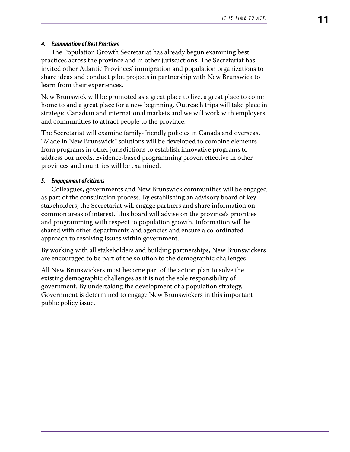## *4. Examination of Best Practices*

The Population Growth Secretariat has already begun examining best practices across the province and in other jurisdictions. The Secretariat has invited other Atlantic Provinces' immigration and population organizations to share ideas and conduct pilot projects in partnership with New Brunswick to learn from their experiences.

New Brunswick will be promoted as a great place to live, a great place to come home to and a great place for a new beginning. Outreach trips will take place in strategic Canadian and international markets and we will work with employers and communities to attract people to the province.

The Secretariat will examine family-friendly policies in Canada and overseas. "Made in New Brunswick" solutions will be developed to combine elements from programs in other jurisdictions to establish innovative programs to address our needs. Evidence-based programming proven effective in other provinces and countries will be examined.

### *5. Engagement of citizens*

Colleagues, governments and New Brunswick communities will be engaged as part of the consultation process. By establishing an advisory board of key stakeholders, the Secretariat will engage partners and share information on common areas of interest. This board will advise on the province's priorities and programming with respect to population growth. Information will be shared with other departments and agencies and ensure a co-ordinated approach to resolving issues within government.

By working with all stakeholders and building partnerships, New Brunswickers are encouraged to be part of the solution to the demographic challenges.

All New Brunswickers must become part of the action plan to solve the existing demographic challenges as it is not the sole responsibility of government. By undertaking the development of a population strategy, Government is determined to engage New Brunswickers in this important public policy issue.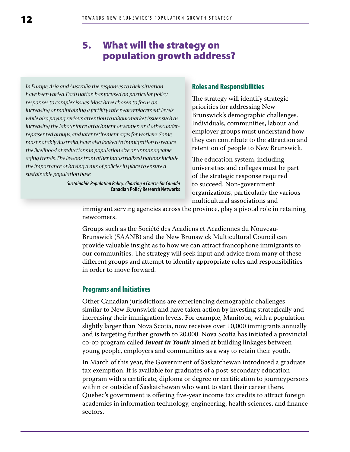# 5. What will the strategy on population growth address?

<span id="page-11-0"></span>*In Europe, Asia and Australia the responses to their situation have been varied. Each nation has focused on particular policy responses to complex issues. Most have chosen to focus on increasing or maintaining a fertility rate near replacement levels while also paying serious attention to labour market issues such as increasing the labour force attachment of women and other underrepresented groups, and later retirement ages for workers. Some, most notably Australia, have also looked to immigration to reduce the likelihood of reductions in population size or unmanageable aging trends. The lessons from other industrialized nations include the importance of having a mix of policies in place to ensure a sustainable population base.*

> *Sustainable Population Policy: Charting a Course for Canada* **Canadian Policy Research Networks**

#### **Roles and Responsibilities**

The strategy will identify strategic priorities for addressing New Brunswick's demographic challenges. Individuals, communities, labour and employer groups must understand how they can contribute to the attraction and retention of people to New Brunswick.

The education system, including universities and colleges must be part of the strategic response required to succeed. Non-government organizations, particularly the various multicultural associations and

immigrant serving agencies across the province, play a pivotal role in retaining newcomers.

Groups such as the Société des Acadiens et Acadiennes du Nouveau-Brunswick (SAANB) and the New Brunswick Multicultural Council can provide valuable insight as to how we can attract francophone immigrants to our communities. The strategy will seek input and advice from many of these different groups and attempt to identify appropriate roles and responsibilities in order to move forward.

#### **Programs and Initiatives**

Other Canadian jurisdictions are experiencing demographic challenges similar to New Brunswick and have taken action by investing strategically and increasing their immigration levels. For example, Manitoba, with a population slightly larger than Nova Scotia, now receives over 10,000 immigrants annually and is targeting further growth to 20,000. Nova Scotia has initiated a provincial co-op program called *Invest in Youth* aimed at building linkages between young people, employers and communities as a way to retain their youth.

In March of this year, the Government of Saskatchewan introduced a graduate tax exemption. It is available for graduates of a post-secondary education program with a certificate, diploma or degree or certification to journeypersons within or outside of Saskatchewan who want to start their career there. Quebec's government is offering five-year income tax credits to attract foreign academics in information technology, engineering, health sciences, and finance sectors.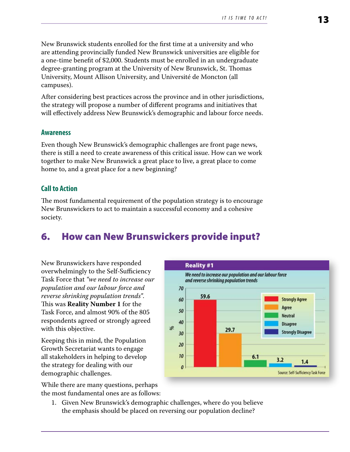<span id="page-12-0"></span>New Brunswick students enrolled for the first time at a university and who are attending provincially funded New Brunswick universities are eligible for a one-time benefit of \$2,000. Students must be enrolled in an undergraduate degree-granting program at the University of New Brunswick, St. Thomas University, Mount Allison University, and Université de Moncton (all campuses).

After considering best practices across the province and in other jurisdictions, the strategy will propose a number of different programs and initiatives that will effectively address New Brunswick's demographic and labour force needs.

#### **Awareness**

Even though New Brunswick's demographic challenges are front page news, there is still a need to create awareness of this critical issue. How can we work together to make New Brunswick a great place to live, a great place to come home to, and a great place for a new beginning?

## **Call to Action**

The most fundamental requirement of the population strategy is to encourage New Brunswickers to act to maintain a successful economy and a cohesive society.

# 6. How can New Brunswickers provide input?

New Brunswickers have responded overwhelmingly to the Self-Sufficiency Task Force that *"we need to increase our population and our labour force and reverse shrinking population trends"*. This was **Reality Number 1** for the Task Force, and almost 90% of the 805 respondents agreed or strongly agreed with this objective.

Keeping this in mind, the Population Growth Secretariat wants to engage all stakeholders in helping to develop the strategy for dealing with our demographic challenges.

While there are many questions, perhaps the most fundamental ones are as follows:



1. Given New Brunswick's demographic challenges, where do you believe the emphasis should be placed on reversing our population decline?